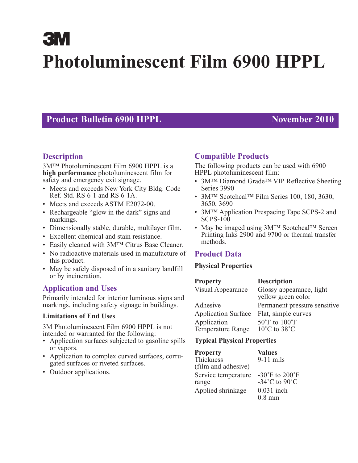# **3M Photoluminescent Film 6900 HPPL**

# **Product Bulletin 6900 HPPL November 2010**

# **Description**

3M™ Photoluminescent Film 6900 HPPL is a **high performance** photoluminescent film for safety and emergency exit signage.

- Meets and exceeds New York City Bldg. Code Ref. Std. RS 6-1 and RS 6-1A.
- Meets and exceeds ASTM E2072-00.
- Rechargeable "glow in the dark" signs and markings.
- Dimensionally stable, durable, multilayer film.
- Excellent chemical and stain resistance.
- Easily cleaned with 3M™ Citrus Base Cleaner.
- No radioactive materials used in manufacture of this product.
- May be safely disposed of in a sanitary landfill or by incineration.

# **Application and Uses**

Primarily intended for interior luminous signs and markings, including safety signage in buildings.

#### **Limitations of End Uses**

3M Photoluminescent Film 6900 HPPL is not intended or warranted for the following:

- Application surfaces subjected to gasoline spills or vapors.
- Application to complex curved surfaces, corrugated surfaces or riveted surfaces.
- Outdoor applications.

# **Compatible Products**

The following products can be used with 6900 HPPL photoluminescent film:

- 3M™ Diamond Grade™ VIP Reflective Sheeting Series 3990
- 3M™ Scotchcal™ Film Series 100, 180, 3630, 3650, 3690
- 3M<sup>TM</sup> Application Prespacing Tape SCPS-2 and SCPS-100
- May be imaged using 3M™ Scotchcal™ Screen Printing Inks 2900 and 9700 or thermal transfer methods.

# **Product Data**

#### **Physical Properties**

| <b>Property</b>                  | <b>Description</b>                                                    |
|----------------------------------|-----------------------------------------------------------------------|
| Visual Appearance                | Glossy appearance, light<br>yellow green color                        |
| Adhesive                         | Permanent pressure sensitive                                          |
| <b>Application Surface</b>       | Flat, simple curves                                                   |
| Application<br>Temperature Range | $50^{\circ}$ F to $100^{\circ}$ F<br>$10^{\circ}$ C to $38^{\circ}$ C |

#### **Typical Physical Properties**

| <b>Property</b>     | <b>Values</b>                        |
|---------------------|--------------------------------------|
| Thickness           | $9-11$ mils                          |
| (film and adhesive) |                                      |
| Service temperature | -30 $\mathrm{F}$ to 200 $\mathrm{F}$ |
| range               | $-34^{\circ}$ C to 90 $^{\circ}$ C   |
| Applied shrinkage   | $0.031$ inch                         |
|                     | $0.8$ mm                             |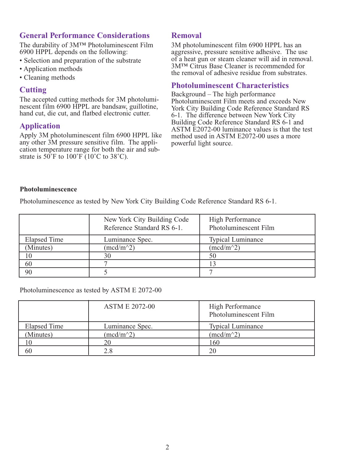## **General Performance Considerations**

The durability of 3M™ Photoluminescent Film 6900 HPPL depends on the following:

- Selection and preparation of the substrate
- Application methods
- Cleaning methods

#### **Cutting**

The accepted cutting methods for 3M photoluminescent film 6900 HPPL are bandsaw, guillotine, hand cut, die cut, and flatbed electronic cutter.

#### **Application**

Apply 3M photoluminescent film 6900 HPPL like any other 3M pressure sensitive film. The application temperature range for both the air and substrate is  $50^{\circ}$ F to  $100^{\circ}$ F ( $10^{\circ}$ C to  $38^{\circ}$ C).

#### **Removal**

3M photoluminescent film 6900 HPPL has an aggressive, pressure sensitive adhesive. The use of a heat gun or steam cleaner will aid in removal. 3M™ Citrus Base Cleaner is recommended for the removal of adhesive residue from substrates.

#### **Photoluminescent Characteristics**

Background – The high performance Photoluminescent Film meets and exceeds New York City Building Code Reference Standard RS 6-1. The difference between New York City Building Code Reference Standard RS 6-1 and ASTM E2072-00 luminance values is that the test method used in ASTM E2072-00 uses a more powerful light source.

#### **Photoluminescence**

Photoluminescence as tested by New York City Building Code Reference Standard RS 6-1.

|                     | New York City Building Code<br>Reference Standard RS 6-1. | High Performance<br>Photoluminescent Film |
|---------------------|-----------------------------------------------------------|-------------------------------------------|
| <b>Elapsed Time</b> | Luminance Spec.                                           | <b>Typical Luminance</b>                  |
| (Minutes)           | $(mcd/m^2)$                                               | $(mcd/m^2)$                               |
| 10                  | 30                                                        | 50                                        |
| 60                  |                                                           |                                           |
| 90                  |                                                           |                                           |

Photoluminescence as tested by ASTM E 2072-00

|              | <b>ASTM E 2072-00</b> | High Performance<br>Photoluminescent Film |
|--------------|-----------------------|-------------------------------------------|
| Elapsed Time | Luminance Spec.       | <b>Typical Luminance</b>                  |
| (Minutes)    | $(mcd/m^2)$           | $(\text{med/m}^2)$                        |
| 10           | 20                    | 160                                       |
| 60           | 2.8                   | 20                                        |